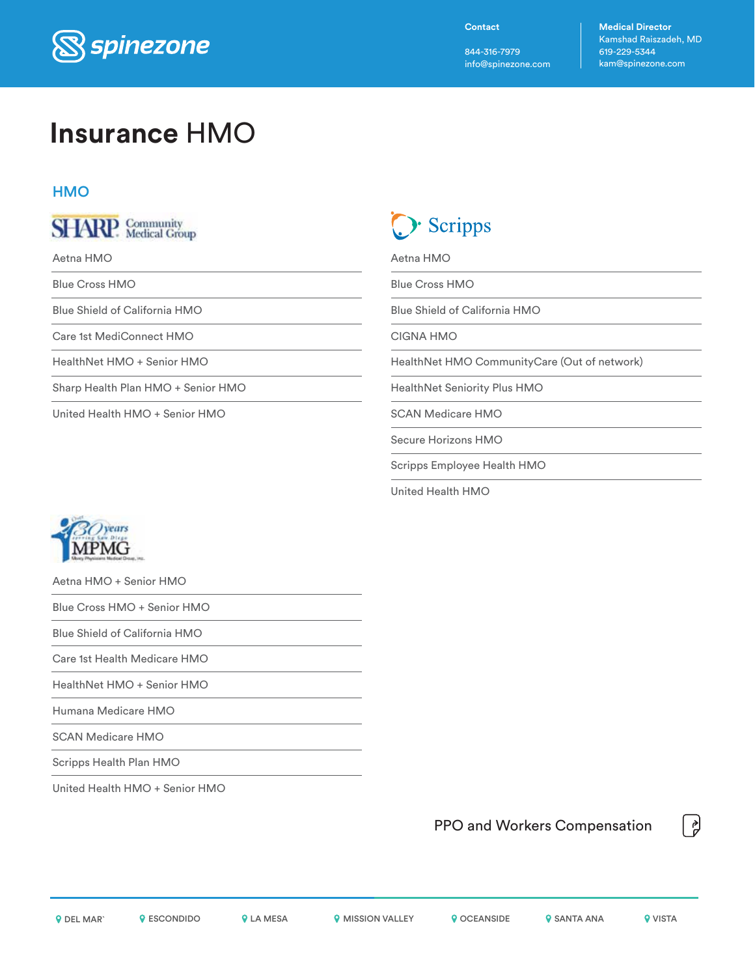

**Contact**

844-316-7979 info@spinezone.com **Medical Director** Kamshad Raiszadeh, MD 619-229-5344 kam@spinezone.com

## **Insurance** HMO

#### **HMO**



Aetna HMO

Blue Cross HMO

Blue Shield of California HMO

Care 1st MediConnect HMO

HealthNet HMO + Senior HMO

Sharp Health Plan HMO + Senior HMO

United Health HMO + Senior HMO

Scripps

Aetna HMO

Blue Cross HMO

Blue Shield of California HMO

CIGNA HMO

HealthNet HMO CommunityCare (Out of network)

HealthNet Seniority Plus HMO

SCAN Medicare HMO

Secure Horizons HMO

Scripps Employee Health HMO

United Health HMO



Aetna HMO + Senior HMO

Blue Cross HMO + Senior HMO

Blue Shield of California HMO

Care 1st Health Medicare HMO

HealthNet HMO + Senior HMO

Humana Medicare HMO

SCAN Medicare HMO

Scripps Health Plan HMO

United Health HMO + Senior HMO

PPO and Workers Compensation

**OR DEL MARY ARESON DUES ARESA MISSION VALLEY ARE SANTA ANA MISSION VALLEY ARE SANTA ANA MISSION VISTA** 

힍